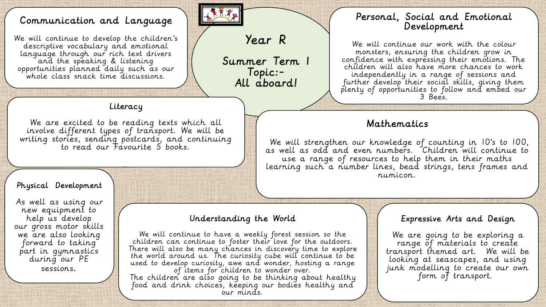# Communication and Language

We will continue to develop the children's descriptive vocabulary and emotional language through our rich text drivers and the speaking & listening opportunities planned daily such as our whole class snack time discussions.

### Literacy

We are excited to be reading texts which all involve different types of transport. We will be writing stories, sending postcards, and continuing to read our Favourite 5 books.

.

#### Physical Development

As well as using our new equipment to help us develop our gross motor skills we are also looking forward to taking part in gymnastics during our PE sessions.

### Understanding the World

Year R

Summer Term 1

Topic:- All aboard!

We will continue to have a weekly forest session so the children can continue to foster their love for the outdoors. There will also be many chances in discovery time to explore the world around us. The curiosity cube will continue to be used to develop curiosity, awe and wonder, hosting a range of items for children to wonder over.

The children are also going to be thinking about healthy food and drink choices, keeping our bodies healthy and our minds.

# Personal, Social and Emotional Development

We will continue our work with the colour monsters, ensuring the children grow in confidence with expressing their emotions. The children will also have more chances to work independently in a range of sessions and further develop their social skills, giving them plenty of opportunities to follow and embed our 3 Bees.

## Mathematics

We will strengthen our knowledge of counting in 10's to 100, as well as odd and even numbers. Children will continue to use a range of resources to help them in their maths learning such a number lines, bead strings, tens frames and numicon.

#### Expressive Arts and Design

We are going to be exploring a range of materials to create transport themed art. We will be looking at seascapes, and using junk modelling to create our own form of transport.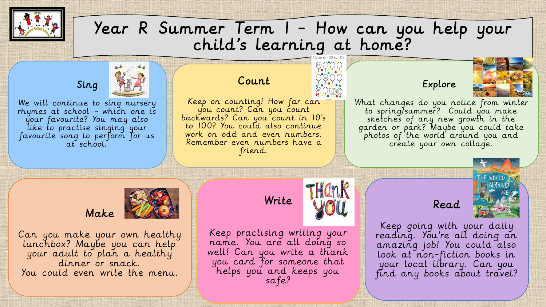

# Year R Summer Term 1 - How can you help your child's learning at home?





What changes do you notice from winter to spring/summer? Could you make sketches of any new growth in the garden or park? Maybe you could take photos of the world around you and create your own collage.



# Read

Keep going with your daily reading. You're all doing an amazing job! You could also look at non-fiction books in your local library. Can you find any books about travel?

Keep on counting! How far can you count? Can you count backwards? Can you count in 10's to 100? You could also continue work on odd and even numbers. Remember even numbers have a friend.

Count



We will continue to sing nursery rhymes at school – which one is your favourite? You may also like to practise singing your favourite song to perform for us at school.



Can you make your own healthy lunchbox? Maybe you can help your adult to plan a healthy dinner or snack. You could even write the menu.

Keep practising writing your name. You are all doing so well! Can you write a thank you card for someone that helps you and keeps you safe?

Write U